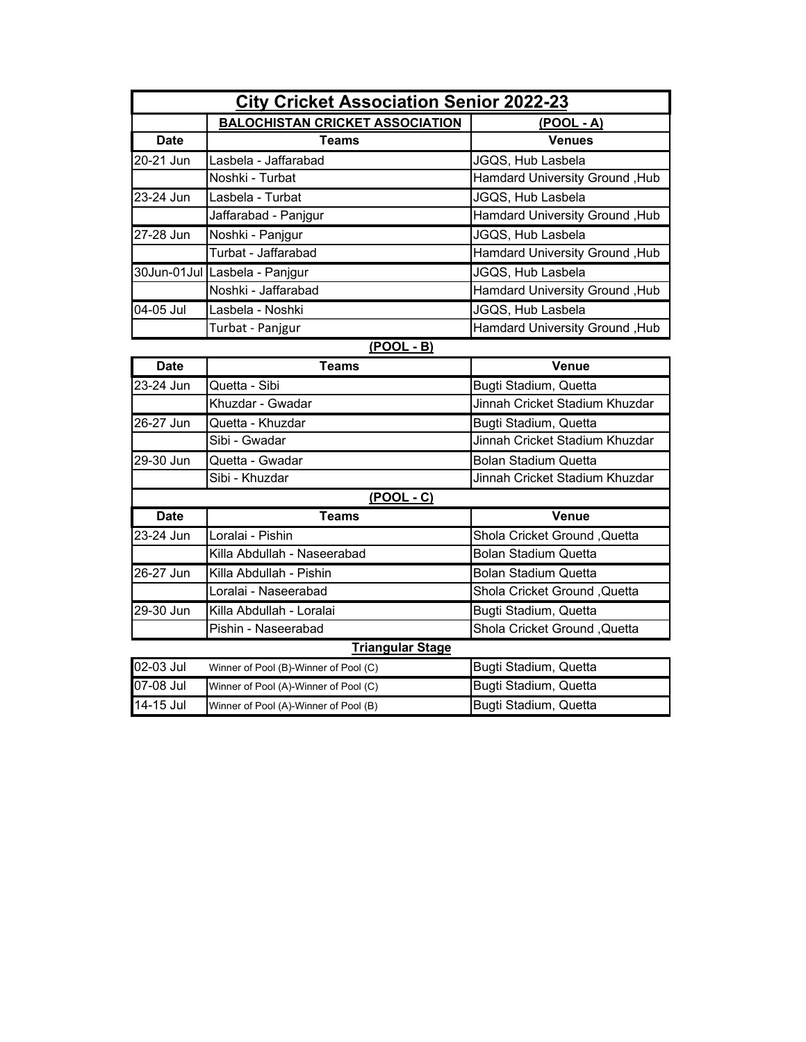| <b>City Cricket Association Senior 2022-23</b> |                                        |                                |
|------------------------------------------------|----------------------------------------|--------------------------------|
|                                                | <b>BALOCHISTAN CRICKET ASSOCIATION</b> | $(POOL - A)$                   |
| <b>Date</b>                                    | Teams                                  | <b>Venues</b>                  |
| 20-21 Jun                                      | Lasbela - Jaffarabad                   | JGQS, Hub Lasbela              |
|                                                | Noshki - Turbat                        | Hamdard University Ground, Hub |
| 23-24 Jun                                      | Lasbela - Turbat                       | JGQS, Hub Lasbela              |
|                                                | Jaffarabad - Panjgur                   | Hamdard University Ground, Hub |
| 27-28 Jun                                      | Noshki - Panjgur                       | JGQS, Hub Lasbela              |
|                                                | Turbat - Jaffarabad                    | Hamdard University Ground, Hub |
|                                                | 30Jun-01Jul Lasbela - Panjgur          | JGQS, Hub Lasbela              |
|                                                | Noshki - Jaffarabad                    | Hamdard University Ground, Hub |
| 04-05 Jul                                      | Lasbela - Noshki                       | JGQS, Hub Lasbela              |
|                                                | Turbat - Panjgur                       | Hamdard University Ground, Hub |
|                                                | (POOL - B)                             |                                |
| Date                                           | Teams                                  | Venue                          |

| <b>Date</b> | Teams                                 | <b>Venue</b>                   |
|-------------|---------------------------------------|--------------------------------|
| 23-24 Jun   | Quetta - Sibi                         | Bugti Stadium, Quetta          |
|             | Khuzdar - Gwadar                      | Jinnah Cricket Stadium Khuzdar |
| 26-27 Jun   | Quetta - Khuzdar                      | Bugti Stadium, Quetta          |
|             | Sibi - Gwadar                         | Jinnah Cricket Stadium Khuzdar |
| 29-30 Jun   | Quetta - Gwadar                       | Bolan Stadium Quetta           |
|             | Sibi - Khuzdar                        | Jinnah Cricket Stadium Khuzdar |
|             | <u>(POOL - C)</u>                     |                                |
| <b>Date</b> | Teams                                 | <b>Venue</b>                   |
| 23-24 Jun   | Loralai - Pishin                      | Shola Cricket Ground , Quetta  |
|             | Killa Abdullah - Naseerabad           | Bolan Stadium Quetta           |
| 26-27 Jun   | Killa Abdullah - Pishin               | <b>Bolan Stadium Quetta</b>    |
|             | Loralai - Naseerabad                  | Shola Cricket Ground , Quetta  |
| 29-30 Jun   | Killa Abdullah - Loralai              | Bugti Stadium, Quetta          |
|             | Pishin - Naseerabad                   | Shola Cricket Ground, Quetta   |
|             | <u>Triangular Stage</u>               |                                |
| 02-03 Jul   | Winner of Pool (B)-Winner of Pool (C) | Bugti Stadium, Quetta          |
| 07-08 Jul   | Winner of Pool (A)-Winner of Pool (C) | Bugti Stadium, Quetta          |

14-15 Jul Winner of Pool (A)-Winner of Pool (B) Bugti Stadium, Quetta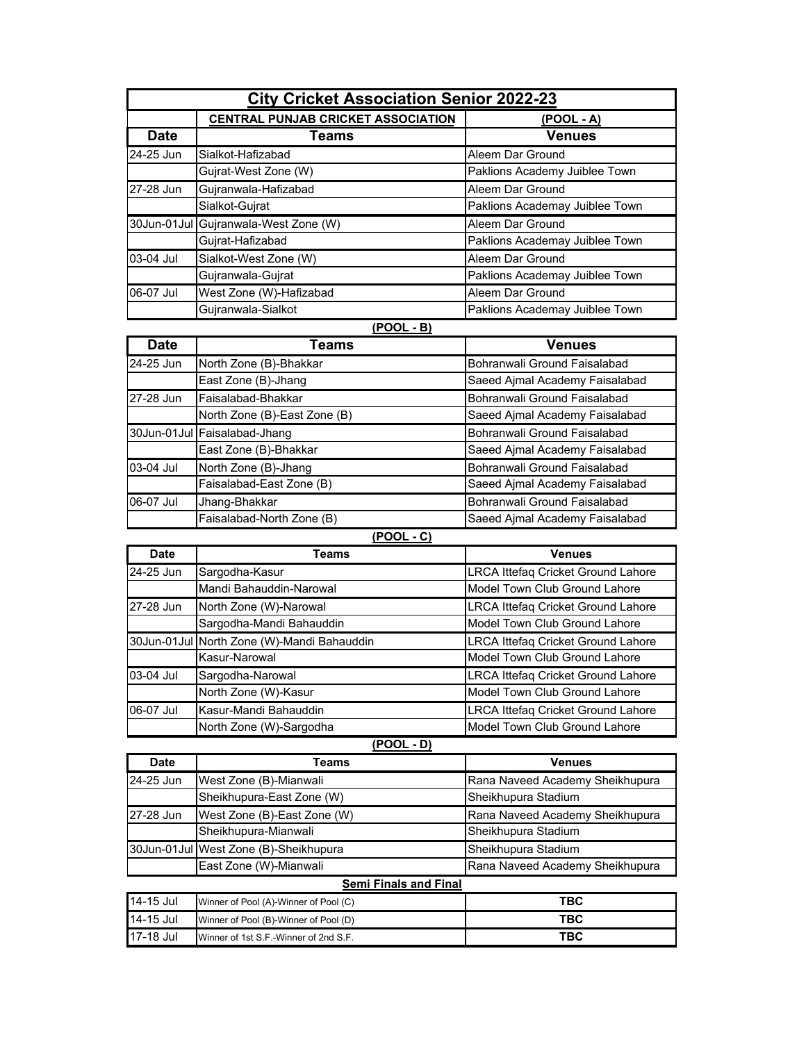| <b>City Cricket Association Senior 2022-23</b> |                                                         |                                |  |
|------------------------------------------------|---------------------------------------------------------|--------------------------------|--|
|                                                | <b>CENTRAL PUNJAB CRICKET ASSOCIATION</b><br>(POOL - A) |                                |  |
| <b>Date</b>                                    | Teams                                                   | <b>Venues</b>                  |  |
| 24-25 Jun                                      | Sialkot-Hafizabad                                       | Aleem Dar Ground               |  |
|                                                | Gujrat-West Zone (W)                                    | Paklions Academy Juiblee Town  |  |
| 27-28 Jun                                      | Gujranwala-Hafizabad                                    | Aleem Dar Ground               |  |
|                                                | Sialkot-Gujrat                                          | Paklions Academay Juiblee Town |  |
|                                                | 30Jun-01Jul Gujranwala-West Zone (W)                    | Aleem Dar Ground               |  |
|                                                | Gujrat-Hafizabad                                        | Paklions Academay Juiblee Town |  |
| 03-04 Jul                                      | Sialkot-West Zone (W)                                   | Aleem Dar Ground               |  |
|                                                | Gujranwala-Gujrat                                       | Paklions Academay Juiblee Town |  |
| 06-07 Jul                                      | West Zone (W)-Hafizabad                                 | Aleem Dar Ground               |  |
|                                                | Gujranwala-Sialkot                                      | Paklions Academay Juiblee Town |  |
| (POOL - B)                                     |                                                         |                                |  |

| <b>Date</b> | Teams                        | <b>Venues</b>                  |
|-------------|------------------------------|--------------------------------|
| 24-25 Jun   | North Zone (B)-Bhakkar       | Bohranwali Ground Faisalabad   |
|             | East Zone (B)-Jhang          | Saeed Ajmal Academy Faisalabad |
| 27-28 Jun   | Faisalabad-Bhakkar           | Bohranwali Ground Faisalabad   |
|             | North Zone (B)-East Zone (B) | Saeed Ajmal Academy Faisalabad |
|             | 30Jun-01Jul Faisalabad-Jhang | Bohranwali Ground Faisalabad   |
|             | East Zone (B)-Bhakkar        | Saeed Ajmal Academy Faisalabad |
| 03-04 Jul   | North Zone (B)-Jhang         | Bohranwali Ground Faisalabad   |
|             | Faisalabad-East Zone (B)     | Saeed Ajmal Academy Faisalabad |
| 06-07 Jul   | Jhang-Bhakkar                | Bohranwali Ground Faisalabad   |
|             | Faisalabad-North Zone (B)    | Saeed Aimal Academy Faisalabad |

| <u>(POOL - C)</u> |                                            |                                           |
|-------------------|--------------------------------------------|-------------------------------------------|
| <b>Date</b>       | Teams                                      | <b>Venues</b>                             |
| 24-25 Jun         | Sargodha-Kasur                             | <b>LRCA Ittefaq Cricket Ground Lahore</b> |
|                   | Mandi Bahauddin-Narowal                    | Model Town Club Ground Lahore             |
| 27-28 Jun         | North Zone (W)-Narowal                     | <b>LRCA Ittefaq Cricket Ground Lahore</b> |
|                   | Sargodha-Mandi Bahauddin                   | Model Town Club Ground Lahore             |
|                   | 30Jun-01Jul North Zone (W)-Mandi Bahauddin | <b>LRCA Ittefaq Cricket Ground Lahore</b> |
|                   | Kasur-Narowal                              | Model Town Club Ground Lahore             |
| 03-04 Jul         | Sargodha-Narowal                           | <b>LRCA Ittefaq Cricket Ground Lahore</b> |
|                   | North Zone (W)-Kasur                       | Model Town Club Ground Lahore             |
| 06-07 Jul         | Kasur-Mandi Bahauddin                      | <b>LRCA Ittefaq Cricket Ground Lahore</b> |
|                   | North Zone (W)-Sargodha                    | Model Town Club Ground Lahore             |

**(POOL - D)**

| <b>Date</b> | Teams                                 | <b>Venues</b>                   |
|-------------|---------------------------------------|---------------------------------|
| 24-25 Jun   | West Zone (B)-Mianwali                | Rana Naveed Academy Sheikhupura |
|             | Sheikhupura-East Zone (W)             | Sheikhupura Stadium             |
| 27-28 Jun   | West Zone (B)-East Zone (W)           | Rana Naveed Academy Sheikhupura |
|             | Sheikhupura-Mianwali                  | Sheikhupura Stadium             |
|             | 30Jun-01Jul West Zone (B)-Sheikhupura | Sheikhupura Stadium             |
|             | East Zone (W)-Mianwali                | Rana Naveed Academy Sheikhupura |
|             | Semi Finals and Final                 |                                 |
| 14-15 Jul   | Winner of Pool (A)-Winner of Pool (C) | <b>TBC</b>                      |
| 14-15 Jul   | Winner of Pool (B)-Winner of Pool (D) | <b>TBC</b>                      |
| 17-18 Jul   | Winner of 1st S.F.-Winner of 2nd S.F. | <b>TBC</b>                      |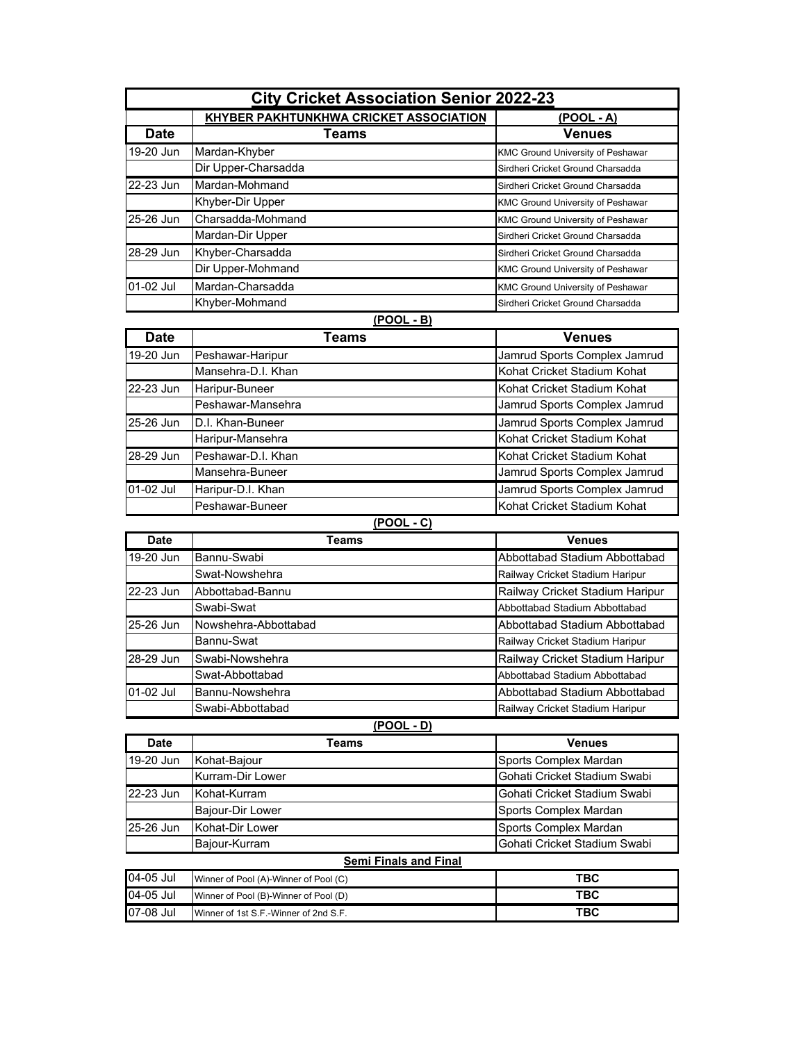| <b>City Cricket Association Senior 2022-23</b> |                                               |                                          |
|------------------------------------------------|-----------------------------------------------|------------------------------------------|
|                                                | <b>KHYBER PAKHTUNKHWA CRICKET ASSOCIATION</b> | $(POOL - A)$                             |
| <b>Date</b>                                    | Teams                                         | Venues                                   |
| 19-20 Jun                                      | Mardan-Khyber                                 | <b>KMC Ground University of Peshawar</b> |
|                                                | Dir Upper-Charsadda                           | Sirdheri Cricket Ground Charsadda        |
| 22-23 Jun                                      | Mardan-Mohmand                                | Sirdheri Cricket Ground Charsadda        |
|                                                | Khyber-Dir Upper                              | <b>KMC Ground University of Peshawar</b> |
| 25-26 Jun                                      | Charsadda-Mohmand                             | <b>KMC Ground University of Peshawar</b> |
|                                                | Mardan-Dir Upper                              | Sirdheri Cricket Ground Charsadda        |
| 28-29 Jun                                      | Khyber-Charsadda                              | Sirdheri Cricket Ground Charsadda        |
|                                                | Dir Upper-Mohmand                             | <b>KMC Ground University of Peshawar</b> |
| 01-02 Jul                                      | Mardan-Charsadda                              | <b>KMC Ground University of Peshawar</b> |
|                                                | Khyber-Mohmand                                | Sirdheri Cricket Ground Charsadda        |

#### **(POOL - B)**

| <b>Date</b> | Teams              | <b>Venues</b>                |
|-------------|--------------------|------------------------------|
| 19-20 Jun   | Peshawar-Haripur   | Jamrud Sports Complex Jamrud |
|             | Mansehra-D.I. Khan | Kohat Cricket Stadium Kohat  |
| 22-23 Jun   | Haripur-Buneer     | Kohat Cricket Stadium Kohat  |
|             | Peshawar-Mansehra  | Jamrud Sports Complex Jamrud |
| 25-26 Jun   | D.I. Khan-Buneer   | Jamrud Sports Complex Jamrud |
|             | Haripur-Mansehra   | Kohat Cricket Stadium Kohat  |
| 28-29 Jun   | Peshawar-D.I. Khan | Kohat Cricket Stadium Kohat  |
|             | Mansehra-Buneer    | Jamrud Sports Complex Jamrud |
| 01-02 Jul   | Haripur-D.I. Khan  | Jamrud Sports Complex Jamrud |
|             | Peshawar-Buneer    | Kohat Cricket Stadium Kohat  |

# **(POOL - C)**

| <b>Date</b> | Teams                | <b>Venues</b>                   |
|-------------|----------------------|---------------------------------|
| 19-20 Jun   | Bannu-Swabi          | Abbottabad Stadium Abbottabad   |
|             | Swat-Nowshehra       | Railway Cricket Stadium Haripur |
| 22-23 Jun   | Abbottabad-Bannu     | Railway Cricket Stadium Haripur |
|             | Swabi-Swat           | Abbottabad Stadium Abbottabad   |
| 25-26 Jun   | Nowshehra-Abbottabad | Abbottabad Stadium Abbottabad   |
|             | Bannu-Swat           | Railway Cricket Stadium Haripur |
| 28-29 Jun   | Swabi-Nowshehra      | Railway Cricket Stadium Haripur |
|             | Swat-Abbottabad      | Abbottabad Stadium Abbottabad   |
| 01-02 Jul   | Bannu-Nowshehra      | Abbottabad Stadium Abbottabad   |
|             | Swabi-Abbottabad     | Railway Cricket Stadium Haripur |

# **(POOL - D)**

| <b>Date</b> | Teams                   | <b>Venues</b>                |
|-------------|-------------------------|------------------------------|
| 19-20 Jun   | Kohat-Bajour            | Sports Complex Mardan        |
|             | Kurram-Dir Lower        | Gohati Cricket Stadium Swabi |
| 22-23 Jun   | Kohat-Kurram            | Gohati Cricket Stadium Swabi |
|             | <b>Bajour-Dir Lower</b> | Sports Complex Mardan        |
| 25-26 Jun   | Kohat-Dir Lower         | Sports Complex Mardan        |
|             | Bajour-Kurram           | Gohati Cricket Stadium Swabi |

### **Semi Finals and Final**

| 04-05 Jul | Winner of Pool (A)-Winner of Pool (C) | твс |
|-----------|---------------------------------------|-----|
| 04-05 Jul | Winner of Pool (B)-Winner of Pool (D) | твс |
| 07-08 Jul | Winner of 1st S.F.-Winner of 2nd S.F. | TBC |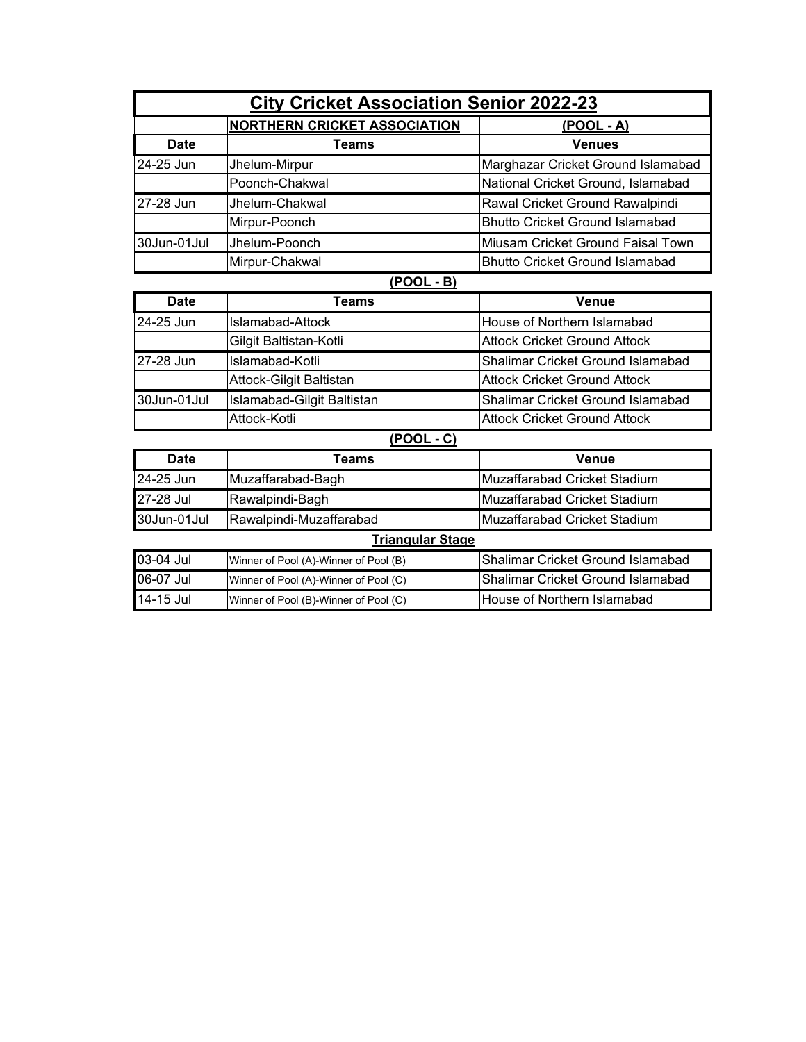|                                                     | <b>City Cricket Association Senior 2022-23</b> |                                        |  |
|-----------------------------------------------------|------------------------------------------------|----------------------------------------|--|
| <b>NORTHERN CRICKET ASSOCIATION</b><br>$(POOL - A)$ |                                                |                                        |  |
| <b>Date</b>                                         | <b>Teams</b>                                   | <b>Venues</b>                          |  |
| 24-25 Jun                                           | Jhelum-Mirpur                                  | Marghazar Cricket Ground Islamabad     |  |
|                                                     | Poonch-Chakwal                                 | National Cricket Ground, Islamabad     |  |
| 27-28 Jun                                           | Jhelum-Chakwal                                 | Rawal Cricket Ground Rawalpindi        |  |
|                                                     | Mirpur-Poonch                                  | <b>Bhutto Cricket Ground Islamabad</b> |  |
| 30Jun-01Jul                                         | Jhelum-Poonch                                  | Miusam Cricket Ground Faisal Town      |  |
|                                                     | Mirpur-Chakwal                                 | <b>Bhutto Cricket Ground Islamabad</b> |  |
|                                                     | $(POOL - B)$                                   |                                        |  |
| <b>Date</b>                                         | <b>Teams</b>                                   | <b>Venue</b>                           |  |
| 24-25 Jun                                           | Islamabad-Attock                               | House of Northern Islamabad            |  |
|                                                     | Gilgit Baltistan-Kotli                         | <b>Attock Cricket Ground Attock</b>    |  |
| 27-28 Jun                                           | Islamabad-Kotli                                | Shalimar Cricket Ground Islamabad      |  |
|                                                     | Attock-Gilgit Baltistan                        | <b>Attock Cricket Ground Attock</b>    |  |
| 30Jun-01Jul                                         | Islamabad-Gilgit Baltistan                     | Shalimar Cricket Ground Islamabad      |  |
|                                                     | Attock-Kotli                                   | <b>Attock Cricket Ground Attock</b>    |  |
|                                                     | (POOL - C)                                     |                                        |  |
| <b>Date</b>                                         | <b>Teams</b>                                   | Venue                                  |  |
| 24-25 Jun                                           | Muzaffarabad-Bagh                              | Muzaffarabad Cricket Stadium           |  |
| 27-28 Jul                                           | Rawalpindi-Bagh                                | Muzaffarabad Cricket Stadium           |  |
| 30Jun-01Jul                                         | Rawalpindi-Muzaffarabad                        | Muzaffarabad Cricket Stadium           |  |
|                                                     | Triangular Stage                               |                                        |  |
| 03-04 Jul                                           | Winner of Pool (A)-Winner of Pool (B)          | Shalimar Cricket Ground Islamabad      |  |
| 06-07 Jul                                           | Winner of Pool (A)-Winner of Pool (C)          | Shalimar Cricket Ground Islamabad      |  |
| 14-15 Jul                                           | Winner of Pool (B)-Winner of Pool (C)          | House of Northern Islamabad            |  |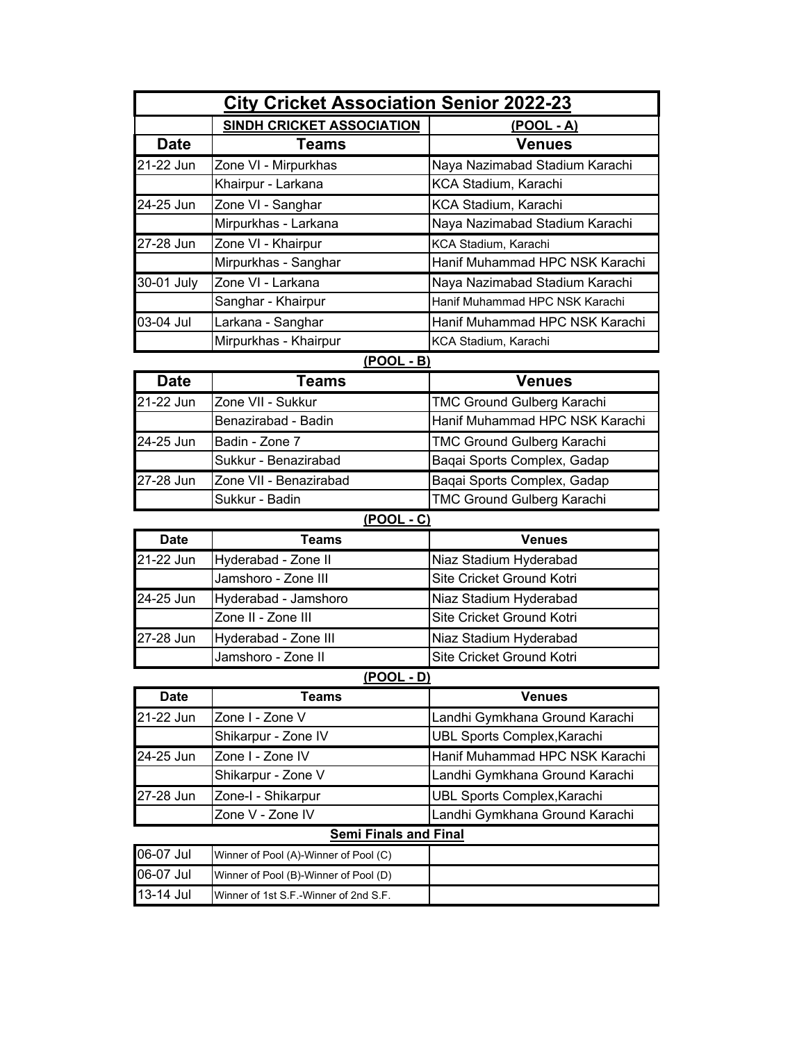| <b>City Cricket Association Senior 2022-23</b> |                           |                                |
|------------------------------------------------|---------------------------|--------------------------------|
|                                                | SINDH CRICKET ASSOCIATION | (POOL - A)                     |
| <b>Date</b>                                    | Teams                     | <b>Venues</b>                  |
| 21-22 Jun                                      | Zone VI - Mirpurkhas      | Naya Nazimabad Stadium Karachi |
|                                                | Khairpur - Larkana        | KCA Stadium, Karachi           |
| 24-25 Jun                                      | Zone VI - Sanghar         | KCA Stadium, Karachi           |
|                                                | Mirpurkhas - Larkana      | Naya Nazimabad Stadium Karachi |
| 27-28 Jun                                      | Zone VI - Khairpur        | KCA Stadium, Karachi           |
|                                                | Mirpurkhas - Sanghar      | Hanif Muhammad HPC NSK Karachi |
| 30-01 July                                     | Zone VI - Larkana         | Naya Nazimabad Stadium Karachi |
|                                                | Sanghar - Khairpur        | Hanif Muhammad HPC NSK Karachi |
| 03-04 Jul                                      | Larkana - Sanghar         | Hanif Muhammad HPC NSK Karachi |
|                                                | Mirpurkhas - Khairpur     | KCA Stadium, Karachi           |

#### **(POOL - B)**

| <b>Date</b> | Teams                  | <b>Venues</b>                     |
|-------------|------------------------|-----------------------------------|
| 21-22 Jun   | Zone VII - Sukkur      | <b>TMC Ground Gulberg Karachi</b> |
|             | Benazirabad - Badin    | Hanif Muhammad HPC NSK Karachi    |
| 24-25 Jun   | Badin - Zone 7         | <b>TMC Ground Gulberg Karachi</b> |
|             | Sukkur - Benazirabad   | Baqai Sports Complex, Gadap       |
| 27-28 Jun   | Zone VII - Benazirabad | Baqai Sports Complex, Gadap       |
|             | Sukkur - Badin         | <b>TMC Ground Gulberg Karachi</b> |

# **(POOL - C)**

| Date      | Teams                | <b>Venues</b>             |
|-----------|----------------------|---------------------------|
| 21-22 Jun | Hyderabad - Zone II  | Niaz Stadium Hyderabad    |
|           | Jamshoro - Zone III  | Site Cricket Ground Kotri |
| 24-25 Jun | Hyderabad - Jamshoro | Niaz Stadium Hyderabad    |
|           | Zone II - Zone III   | Site Cricket Ground Kotri |
| 27-28 Jun | Hyderabad - Zone III | Niaz Stadium Hyderabad    |
|           | Jamshoro - Zone II   | Site Cricket Ground Kotri |

# **(POOL - D)**

| <b>Date</b> | Teams                                 | <b>Venues</b>                      |
|-------------|---------------------------------------|------------------------------------|
| 21-22 Jun   | Zone I - Zone V                       | Landhi Gymkhana Ground Karachi     |
|             | Shikarpur - Zone IV                   | <b>UBL Sports Complex, Karachi</b> |
| 24-25 Jun   | Zone I - Zone IV                      | Hanif Muhammad HPC NSK Karachi     |
|             | Shikarpur - Zone V                    | Landhi Gymkhana Ground Karachi     |
| 27-28 Jun   | Zone-I - Shikarpur                    | <b>UBL Sports Complex, Karachi</b> |
|             | Zone V - Zone IV                      | Landhi Gymkhana Ground Karachi     |
|             | <b>Semi Finals and Final</b>          |                                    |
| 06-07 Jul   | Winner of Pool (A)-Winner of Pool (C) |                                    |
| 06-07 Jul   | Winner of Pool (B)-Winner of Pool (D) |                                    |
| 13-14 Jul   | Winner of 1st S.F.-Winner of 2nd S.F. |                                    |